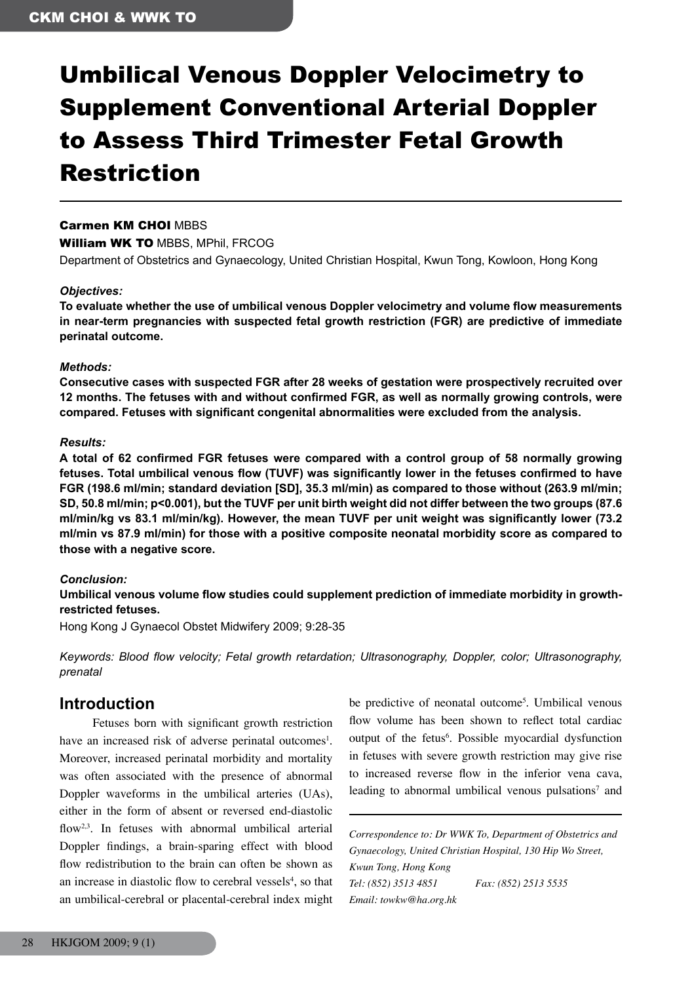# Umbilical Venous Doppler Velocimetry to Supplement Conventional Arterial Doppler to Assess Third Trimester Fetal Growth Restriction

### Carmen KM CHOI MBBS

William WK TO MBBS, MPhil, FRCOG

Department of Obstetrics and Gynaecology, United Christian Hospital, Kwun Tong, Kowloon, Hong Kong

#### *Objectives:*

**To evaluate whether the use of umbilical venous Doppler velocimetry and volume flow measurements in near-term pregnancies with suspected fetal growth restriction (FGR) are predictive of immediate perinatal outcome.**

#### *Methods:*

**Consecutive cases with suspected FGR after 28 weeks of gestation were prospectively recruited over 12 months. The fetuses with and without confirmed FGR, as well as normally growing controls, were compared. Fetuses with significant congenital abnormalities were excluded from the analysis.**

#### *Results:*

**A total of 62 confirmed FGR fetuses were compared with a control group of 58 normally growing fetuses. Total umbilical venous flow (TUVF) was significantly lower in the fetuses confirmed to have FGR (198.6 ml/min; standard deviation [SD], 35.3 ml/min) as compared to those without (263.9 ml/min; SD, 50.8 ml/min; p<0.001), but the TUVF per unit birth weight did not differ between the two groups (87.6 ml/min/kg vs 83.1 ml/min/kg). However, the mean TUVF per unit weight was significantly lower (73.2 ml/min vs 87.9 ml/min) for those with a positive composite neonatal morbidity score as compared to those with a negative score.**

#### *Conclusion:*

**Umbilical venous volume flow studies could supplement prediction of immediate morbidity in growthrestricted fetuses.**

Hong Kong J Gynaecol Obstet Midwifery 2009; 9:28-35

*Keywords: Blood flow velocity; Fetal growth retardation; Ultrasonography, Doppler, color; Ultrasonography, prenatal*

## **Introduction**

 Fetuses born with significant growth restriction have an increased risk of adverse perinatal outcomes<sup>1</sup>. Moreover, increased perinatal morbidity and mortality was often associated with the presence of abnormal Doppler waveforms in the umbilical arteries (UAs), either in the form of absent or reversed end-diastolic flow<sup>2,3</sup>. In fetuses with abnormal umbilical arterial Doppler findings, a brain-sparing effect with blood flow redistribution to the brain can often be shown as an increase in diastolic flow to cerebral vessels<sup>4</sup>, so that an umbilical-cerebral or placental-cerebral index might

be predictive of neonatal outcome<sup>5</sup>. Umbilical venous flow volume has been shown to reflect total cardiac output of the fetus<sup>6</sup>. Possible myocardial dysfunction in fetuses with severe growth restriction may give rise to increased reverse flow in the inferior vena cava, leading to abnormal umbilical venous pulsations<sup>7</sup> and

*Correspondence to: Dr WWK To, Department of Obstetrics and Gynaecology, United Christian Hospital, 130 Hip Wo Street, Kwun Tong, Hong Kong Tel: (852) 3513 4851 Fax: (852) 2513 5535 Email: towkw@ha.org.hk*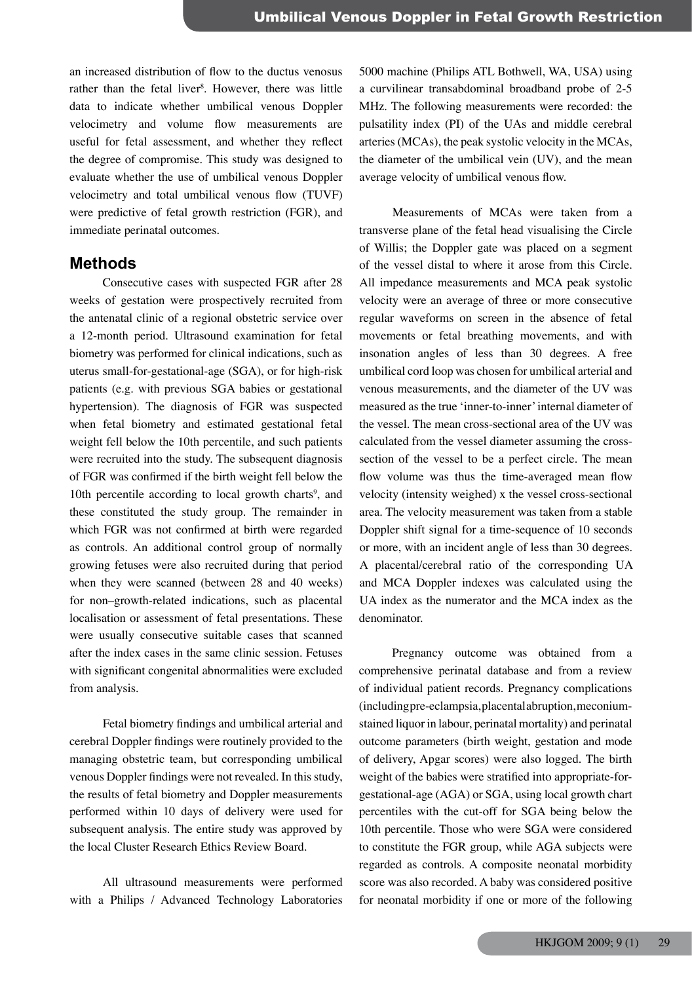an increased distribution of flow to the ductus venosus rather than the fetal liver<sup>8</sup>. However, there was little data to indicate whether umbilical venous Doppler velocimetry and volume flow measurements are useful for fetal assessment, and whether they reflect the degree of compromise. This study was designed to evaluate whether the use of umbilical venous Doppler velocimetry and total umbilical venous flow (TUVF) were predictive of fetal growth restriction (FGR), and immediate perinatal outcomes.

## **Methods**

 Consecutive cases with suspected FGR after 28 weeks of gestation were prospectively recruited from the antenatal clinic of a regional obstetric service over a 12-month period. Ultrasound examination for fetal biometry was performed for clinical indications, such as uterus small-for-gestational-age (SGA), or for high-risk patients (e.g. with previous SGA babies or gestational hypertension). The diagnosis of FGR was suspected when fetal biometry and estimated gestational fetal weight fell below the 10th percentile, and such patients were recruited into the study. The subsequent diagnosis of FGR was confirmed if the birth weight fell below the 10th percentile according to local growth charts<sup>9</sup>, and these constituted the study group. The remainder in which FGR was not confirmed at birth were regarded as controls. An additional control group of normally growing fetuses were also recruited during that period when they were scanned (between 28 and 40 weeks) for non–growth-related indications, such as placental localisation or assessment of fetal presentations. These were usually consecutive suitable cases that scanned after the index cases in the same clinic session. Fetuses with significant congenital abnormalities were excluded from analysis.

 Fetal biometry findings and umbilical arterial and cerebral Doppler findings were routinely provided to the managing obstetric team, but corresponding umbilical venous Doppler findings were not revealed. In this study, the results of fetal biometry and Doppler measurements performed within 10 days of delivery were used for subsequent analysis. The entire study was approved by the local Cluster Research Ethics Review Board.

 All ultrasound measurements were performed with a Philips / Advanced Technology Laboratories

5000 machine (Philips ATL Bothwell, WA, USA) using a curvilinear transabdominal broadband probe of 2-5 MHz. The following measurements were recorded: the pulsatility index (PI) of the UAs and middle cerebral arteries(MCAs), the peak systolic velocity in the MCAs, the diameter of the umbilical vein (UV), and the mean average velocity of umbilical venous flow.

 Measurements of MCAs were taken from a transverse plane of the fetal head visualising the Circle of Willis; the Doppler gate was placed on a segment of the vessel distal to where it arose from this Circle. All impedance measurements and MCA peak systolic velocity were an average of three or more consecutive regular waveforms on screen in the absence of fetal movements or fetal breathing movements, and with insonation angles of less than 30 degrees. A free umbilical cord loop was chosen for umbilical arterial and venous measurements, and the diameter of the UV was measured as the true 'inner-to-inner'internal diameter of the vessel. The mean cross-sectional area of the UV was calculated from the vessel diameter assuming the crosssection of the vessel to be a perfect circle. The mean flow volume was thus the time-averaged mean flow velocity (intensity weighed) x the vessel cross-sectional area. The velocity measurement was taken from a stable Doppler shift signal for a time-sequence of 10 seconds or more, with an incident angle of less than 30 degrees. A placental/cerebral ratio of the corresponding UA and MCA Doppler indexes was calculated using the UA index as the numerator and the MCA index as the denominator.

 Pregnancy outcome was obtained from a comprehensive perinatal database and from a review of individual patient records. Pregnancy complications (includingpre-eclampsia,placentalabruption,meconiumstained liquor in labour, perinatal mortality) and perinatal outcome parameters (birth weight, gestation and mode of delivery, Apgar scores) were also logged. The birth weight of the babies were stratified into appropriate-forgestational-age (AGA) or SGA, using local growth chart percentiles with the cut-off for SGA being below the 10th percentile. Those who were SGA were considered to constitute the FGR group, while AGA subjects were regarded as controls. A composite neonatal morbidity score was also recorded. A baby was considered positive for neonatal morbidity if one or more of the following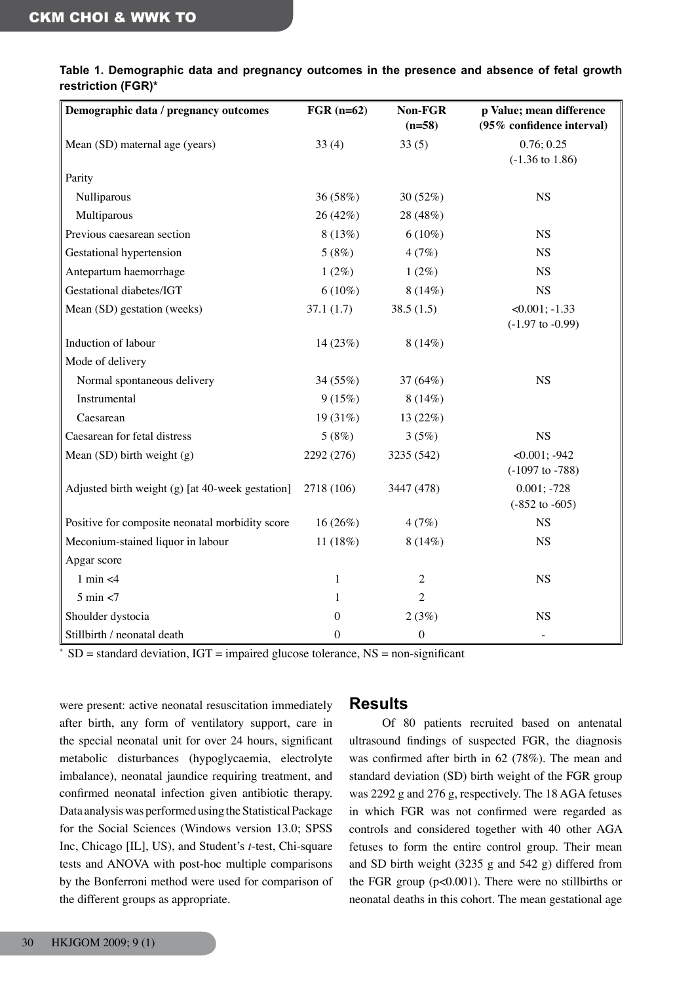| Demographic data / pregnancy outcomes              | $FGR$ (n=62) | Non-FGR<br>$(n=58)$ | p Value; mean difference<br>(95% confidence interval) |
|----------------------------------------------------|--------------|---------------------|-------------------------------------------------------|
| Mean (SD) maternal age (years)                     | 33(4)        | 33(5)               | 0.76; 0.25<br>$(-1.36 \text{ to } 1.86)$              |
| Parity                                             |              |                     |                                                       |
| Nulliparous                                        | 36 (58%)     | 30(52%)             | <b>NS</b>                                             |
| Multiparous                                        | 26 (42%)     | 28 (48%)            |                                                       |
| Previous caesarean section                         | 8(13%)       | $6(10\%)$           | <b>NS</b>                                             |
| Gestational hypertension                           | 5(8%)        | 4(7%)               | <b>NS</b>                                             |
| Antepartum haemorrhage                             | $1(2\%)$     | $1(2\%)$            | <b>NS</b>                                             |
| Gestational diabetes/IGT                           | $6(10\%)$    | $8(14\%)$           | <b>NS</b>                                             |
| Mean (SD) gestation (weeks)                        | 37.1(1.7)    | 38.5(1.5)           | $<0.001$ ; $-1.33$<br>$(-1.97$ to $-0.99)$            |
| Induction of labour                                | 14 (23%)     | 8(14%)              |                                                       |
| Mode of delivery                                   |              |                     |                                                       |
| Normal spontaneous delivery                        | 34 (55%)     | 37 (64%)            | <b>NS</b>                                             |
| Instrumental                                       | 9(15%)       | 8(14%)              |                                                       |
| Caesarean                                          | 19 (31%)     | 13 (22%)            |                                                       |
| Caesarean for fetal distress                       | 5(8%)        | 3(5%)               | <b>NS</b>                                             |
| Mean $(SD)$ birth weight $(g)$                     | 2292 (276)   | 3235 (542)          | $<0.001$ ; -942<br>$(-1097$ to $-788)$                |
| Adjusted birth weight $(g)$ [at 40-week gestation] | 2718 (106)   | 3447 (478)          | $0.001; -728$<br>$(-852 \text{ to } -605)$            |
| Positive for composite neonatal morbidity score    | $16(26\%)$   | 4(7%)               | <b>NS</b>                                             |
| Meconium-stained liquor in labour                  | 11 (18%)     | 8(14%)              | <b>NS</b>                                             |
| Apgar score                                        |              |                     |                                                       |
| $1$ min $<$ 4                                      | 1            | $\overline{c}$      | <b>NS</b>                                             |
| $5 \text{ min} < 7$                                | 1            | $\overline{2}$      |                                                       |
| Shoulder dystocia                                  | 0            | 2(3%)               | <b>NS</b>                                             |
| Stillbirth / neonatal death                        | $\theta$     | $\boldsymbol{0}$    | $\qquad \qquad -$                                     |

| Table 1. Demographic data and pregnancy outcomes in the presence and absence of fetal growth |  |  |  |  |  |
|----------------------------------------------------------------------------------------------|--|--|--|--|--|
| restriction (FGR)*                                                                           |  |  |  |  |  |

 $*$  SD = standard deviation, IGT = impaired glucose tolerance, NS = non-significant

were present: active neonatal resuscitation immediately after birth, any form of ventilatory support, care in the special neonatal unit for over 24 hours, significant metabolic disturbances (hypoglycaemia, electrolyte imbalance), neonatal jaundice requiring treatment, and confirmed neonatal infection given antibiotic therapy. Data analysis was performed using the Statistical Package for the Social Sciences (Windows version 13.0; SPSS Inc, Chicago [IL], US), and Student's *t*-test, Chi-square tests and ANOVA with post-hoc multiple comparisons by the Bonferroni method were used for comparison of the different groups as appropriate.

## **Results**

 Of 80 patients recruited based on antenatal ultrasound findings of suspected FGR, the diagnosis was confirmed after birth in 62 (78%). The mean and standard deviation (SD) birth weight of the FGR group was 2292 g and 276 g, respectively. The 18 AGA fetuses in which FGR was not confirmed were regarded as controls and considered together with 40 other AGA fetuses to form the entire control group. Their mean and SD birth weight (3235 g and 542 g) differed from the FGR group (p<0.001). There were no stillbirths or neonatal deaths in this cohort. The mean gestational age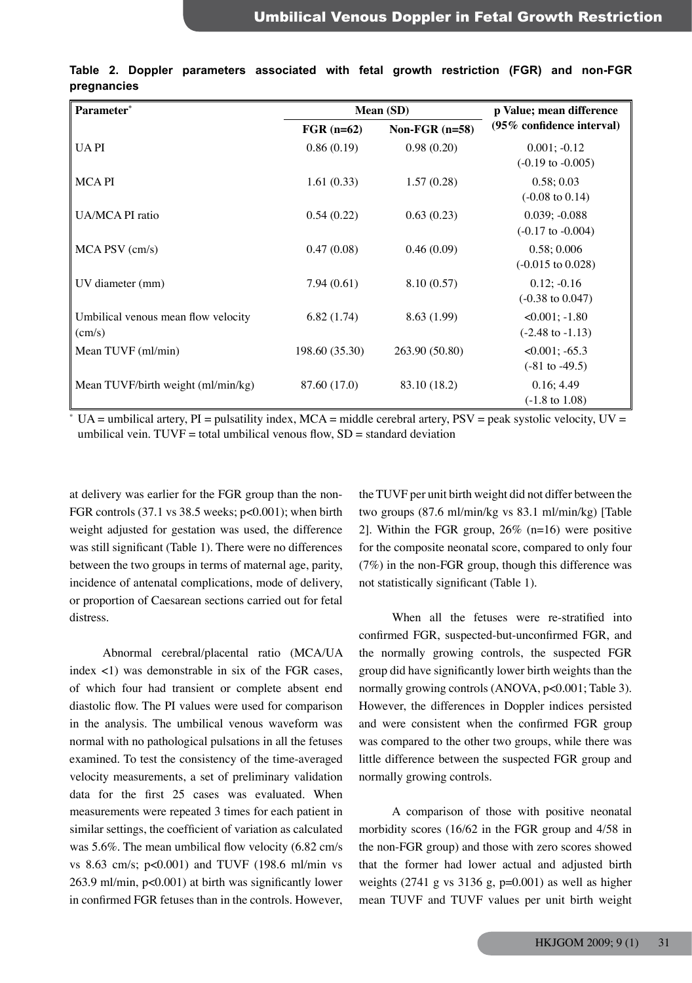| Parameter*                                             |                | Mean (SD)        | p Value; mean difference                          |
|--------------------------------------------------------|----------------|------------------|---------------------------------------------------|
|                                                        | $FGR$ (n=62)   | Non-FGR $(n=58)$ | (95% confidence interval)                         |
| <b>UAPI</b>                                            | 0.86(0.19)     | 0.98(0.20)       | $0.001; -0.12$<br>$(-0.19 \text{ to } -0.005)$    |
| <b>MCAPI</b>                                           | 1.61(0.33)     | 1.57(0.28)       | 0.58; 0.03<br>$(-0.08 \text{ to } 0.14)$          |
| UA/MCA PI ratio                                        | 0.54(0.22)     | 0.63(0.23)       | $0.039; -0.088$<br>$(-0.17 \text{ to } -0.004)$   |
| MCA PSV (cm/s)                                         | 0.47(0.08)     | 0.46(0.09)       | 0.58; 0.006<br>$(-0.015 \text{ to } 0.028)$       |
| UV diameter (mm)                                       | 7.94(0.61)     | 8.10(0.57)       | $0.12; -0.16$<br>$(-0.38 \text{ to } 0.047)$      |
| Umbilical venous mean flow velocity<br>$\text{(cm/s)}$ | 6.82(1.74)     | 8.63 (1.99)      | $<0.001$ ; $-1.80$<br>$(-2.48 \text{ to } -1.13)$ |
| Mean TUVF (ml/min)                                     | 198.60 (35.30) | 263.90 (50.80)   | $<0.001$ ; $-65.3$<br>$(-81 \text{ to } -49.5)$   |
| Mean TUVF/birth weight (ml/min/kg)                     | 87.60 (17.0)   | 83.10 (18.2)     | 0.16; 4.49<br>$(-1.8 \text{ to } 1.08)$           |

|             |  | Table 2. Doppler parameters associated with fetal growth restriction (FGR) and non-FGR |  |  |  |  |
|-------------|--|----------------------------------------------------------------------------------------|--|--|--|--|
| pregnancies |  |                                                                                        |  |  |  |  |

\* UA = umbilical artery,  $PI$  = pulsatility index,  $MCA$  = middle cerebral artery,  $PSV$  = peak systolic velocity,  $UV =$ umbilical vein. TUVF = total umbilical venous flow,  $SD =$  standard deviation

at delivery was earlier for the FGR group than the non-FGR controls (37.1 vs 38.5 weeks; p<0.001); when birth weight adjusted for gestation was used, the difference was still significant (Table 1). There were no differences between the two groups in terms of maternal age, parity, incidence of antenatal complications, mode of delivery, or proportion of Caesarean sections carried out for fetal distress.

 Abnormal cerebral/placental ratio (MCA/UA index <1) was demonstrable in six of the FGR cases, of which four had transient or complete absent end diastolic flow. The PI values were used for comparison in the analysis. The umbilical venous waveform was normal with no pathological pulsations in all the fetuses examined. To test the consistency of the time-averaged velocity measurements, a set of preliminary validation data for the first 25 cases was evaluated. When measurements were repeated 3 times for each patient in similar settings, the coefficient of variation as calculated was 5.6%. The mean umbilical flow velocity (6.82 cm/s vs 8.63 cm/s; p<0.001) and TUVF (198.6 ml/min vs 263.9 ml/min, p<0.001) at birth was significantly lower in confirmed FGR fetuses than in the controls. However,

the TUVF per unit birth weight did not differ between the two groups (87.6 ml/min/kg vs 83.1 ml/min/kg) [Table 2]. Within the FGR group,  $26\%$  (n=16) were positive for the composite neonatal score, compared to only four (7%) in the non-FGR group, though this difference was not statistically significant (Table 1).

 When all the fetuses were re-stratified into confirmed FGR, suspected-but-unconfirmed FGR, and the normally growing controls, the suspected FGR group did have significantly lower birth weights than the normally growing controls (ANOVA, p<0.001; Table 3). However, the differences in Doppler indices persisted and were consistent when the confirmed FGR group was compared to the other two groups, while there was little difference between the suspected FGR group and normally growing controls.

 A comparison of those with positive neonatal morbidity scores (16/62 in the FGR group and 4/58 in the non-FGR group) and those with zero scores showed that the former had lower actual and adjusted birth weights  $(2741 \text{ g} \text{ vs } 3136 \text{ g}, \text{p=0.001})$  as well as higher mean TUVF and TUVF values per unit birth weight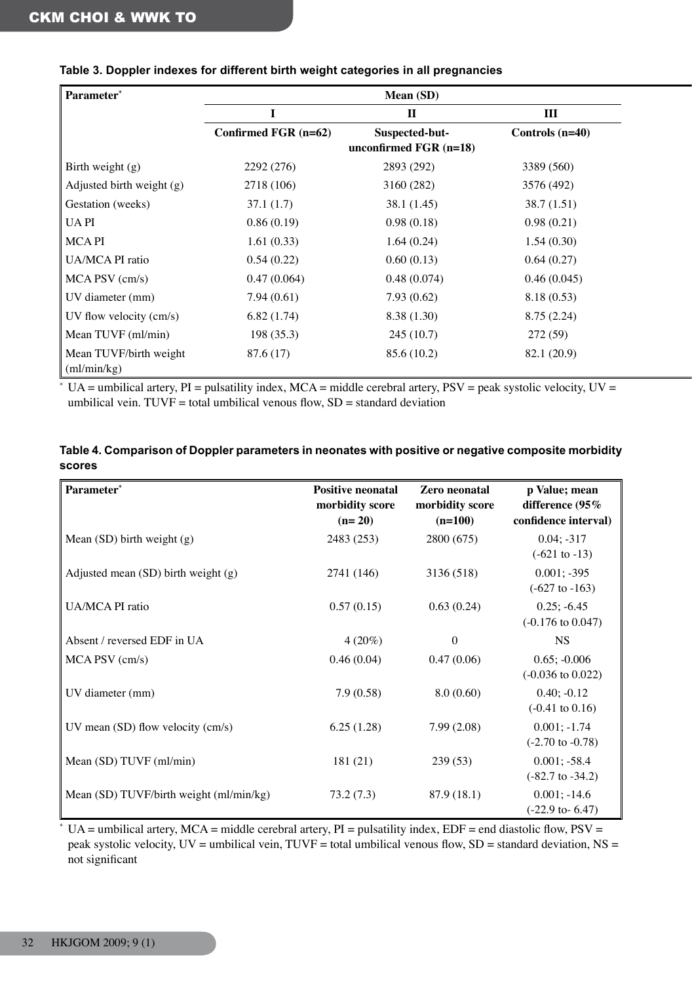| Parameter*                            |                      | <b>Mean (SD)</b>                           |                   |
|---------------------------------------|----------------------|--------------------------------------------|-------------------|
|                                       |                      | $\mathbf{I}$                               | $\rm III$         |
|                                       | Confirmed FGR (n=62) | Suspected-but-<br>unconfirmed $FGR$ (n=18) | Controls $(n=40)$ |
| Birth weight (g)                      | 2292 (276)           | 2893 (292)                                 | 3389 (560)        |
| Adjusted birth weight (g)             | 2718 (106)           | 3160 (282)                                 | 3576 (492)        |
| Gestation (weeks)                     | 37.1(1.7)            | 38.1(1.45)                                 | 38.7(1.51)        |
| <b>UAPI</b>                           | 0.86(0.19)           | 0.98(0.18)                                 | 0.98(0.21)        |
| <b>MCAPI</b>                          | 1.61(0.33)           | 1.64(0.24)                                 | 1.54(0.30)        |
| UA/MCA PI ratio                       | 0.54(0.22)           | 0.60(0.13)                                 | 0.64(0.27)        |
| MCA PSV (cm/s)                        | 0.47(0.064)          | 0.48(0.074)                                | 0.46(0.045)       |
| UV diameter (mm)                      | 7.94(0.61)           | 7.93(0.62)                                 | 8.18(0.53)        |
| UV flow velocity (cm/s)               | 6.82(1.74)           | 8.38(1.30)                                 | 8.75(2.24)        |
| Mean TUVF (ml/min)                    | 198(35.3)            | 245(10.7)                                  | 272 (59)          |
| Mean TUVF/birth weight<br>(ml/min/kg) | 87.6 (17)            | 85.6(10.2)                                 | 82.1 (20.9)       |

## **Table 3. Doppler indexes for different birth weight categories in all pregnancies**

 $*$  UA = umbilical artery, PI = pulsatility index, MCA = middle cerebral artery, PSV = peak systolic velocity, UV = umbilical vein.  $TUVF =$  total umbilical venous flow,  $SD =$  standard deviation

| Table 4. Comparison of Doppler parameters in neonates with positive or negative composite morbidity |  |
|-----------------------------------------------------------------------------------------------------|--|
| scores                                                                                              |  |

| Parameter*                              | <b>Positive neonatal</b><br>morbidity score<br>$(n=20)$ | Zero neonatal<br>morbidity score<br>$(n=100)$ | p Value; mean<br>difference (95%<br>confidence interval) |
|-----------------------------------------|---------------------------------------------------------|-----------------------------------------------|----------------------------------------------------------|
| Mean $(SD)$ birth weight $(g)$          | 2483 (253)                                              | 2800 (675)                                    | $0.04; -317$<br>$(-621 \text{ to } -13)$                 |
| Adjusted mean $(SD)$ birth weight $(g)$ | 2741 (146)                                              | 3136 (518)                                    | $0.001; -395$<br>$(-627 \text{ to } -163)$               |
| UA/MCA PI ratio                         | 0.57(0.15)                                              | 0.63(0.24)                                    | $0.25; -6.45$<br>$(-0.176 \text{ to } 0.047)$            |
| Absent / reversed EDF in UA             | $4(20\%)$                                               | $\boldsymbol{0}$                              | <b>NS</b>                                                |
| MCA PSV (cm/s)                          | 0.46(0.04)                                              | 0.47(0.06)                                    | $0.65; -0.006$<br>$(-0.036 \text{ to } 0.022)$           |
| UV diameter (mm)                        | 7.9(0.58)                                               | 8.0(0.60)                                     | $0.40; -0.12$<br>$(-0.41 \text{ to } 0.16)$              |
| UV mean $(SD)$ flow velocity $(cm/s)$   | 6.25(1.28)                                              | 7.99(2.08)                                    | $0.001; -1.74$<br>$(-2.70 \text{ to } -0.78)$            |
| Mean (SD) TUVF (ml/min)                 | 181(21)                                                 | 239(53)                                       | $0.001; -58.4$<br>$(-82.7 \text{ to } -34.2)$            |
| Mean (SD) TUVF/birth weight (ml/min/kg) | 73.2(7.3)                                               | 87.9 (18.1)                                   | $0.001; -14.6$<br>$(-22.9$ to-6.47)                      |

 $*$  UA = umbilical artery, MCA = middle cerebral artery, PI = pulsatility index, EDF = end diastolic flow, PSV = peak systolic velocity, UV = umbilical vein, TUVF = total umbilical venous flow, SD = standard deviation, NS = not significant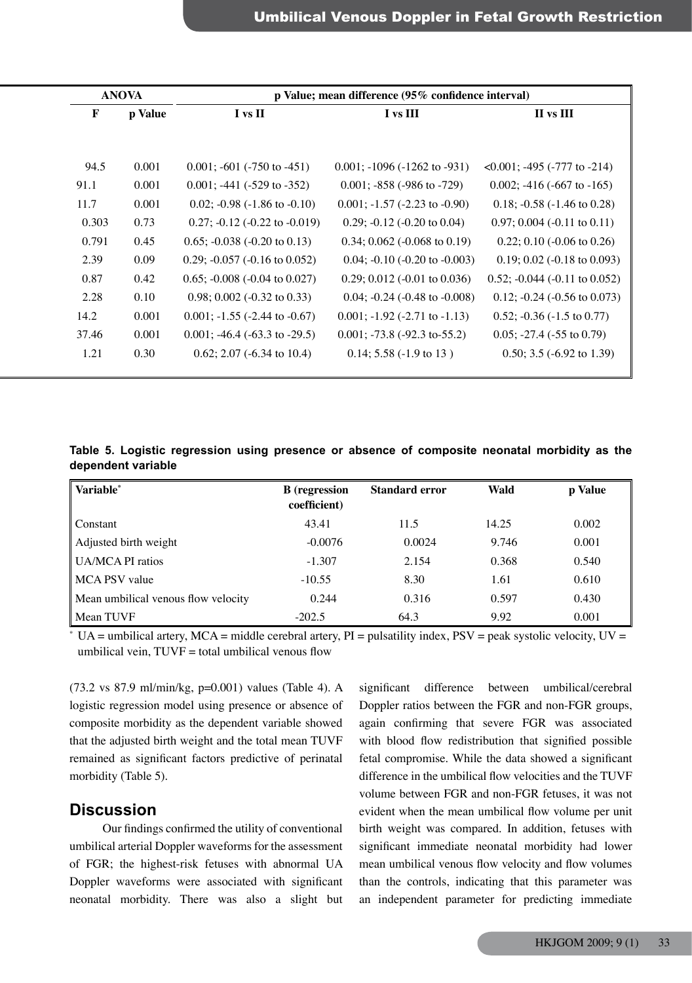|       | <b>ANOVA</b> |                                          | p Value; mean difference (95% confidence interval) |                                          |
|-------|--------------|------------------------------------------|----------------------------------------------------|------------------------------------------|
|       | p Value      | I vs II                                  | I vs III                                           | II vs III                                |
|       |              |                                          |                                                    |                                          |
| 94.5  | 0.001        | $0.001$ ; -601 (-750 to -451)            | $0.001$ ; $-1096$ ( $-1262$ to $-931$ )            | $\leq 0.001$ ; -495 (-777 to -214)       |
| 91.1  | 0.001        | $0.001$ ; -441 (-529 to -352)            | $0.001$ ; -858 (-986 to -729)                      | $0.002$ ; -416 (-667 to -165)            |
| 11.7  | 0.001        | $0.02$ ; $-0.98$ ( $-1.86$ to $-0.10$ )  | $0.001$ ; $-1.57$ ( $-2.23$ to $-0.90$ )           | 0.18; $-0.58$ ( $-1.46$ to 0.28)         |
| 0.303 | 0.73         | $0.27$ ; $-0.12$ ( $-0.22$ to $-0.019$ ) | 0.29; $-0.12$ $(-0.20$ to 0.04)                    | $0.97; 0.004$ (-0.11 to 0.11)            |
| 0.791 | 0.45         | $0.65$ ; $-0.038$ ( $-0.20$ to 0.13)     | $0.34; 0.062$ (-0.068 to 0.19)                     | $0.22$ ; 0.10 (-0.06 to 0.26)            |
| 2.39  | 0.09         | $0.29$ ; $-0.057$ ( $-0.16$ to $0.052$ ) | $0.04$ ; $-0.10$ ( $-0.20$ to $-0.003$ )           | $0.19; 0.02$ (-0.18 to 0.093)            |
| 0.87  | 0.42         | $0.65; -0.008 (-0.04 \text{ to } 0.027)$ | $0.29; 0.012$ (-0.01 to 0.036)                     | $0.52$ ; $-0.044$ ( $-0.11$ to $0.052$ ) |
| 2.28  | 0.10         | $0.98; 0.002$ (-0.32 to 0.33)            | $0.04$ ; $-0.24$ ( $-0.48$ to $-0.008$ )           | $0.12$ ; $-0.24$ ( $-0.56$ to $0.073$ )  |
| 14.2  | 0.001        | $0.001$ ; -1.55 (-2.44 to -0.67)         | $0.001$ ; $-1.92$ ( $-2.71$ to $-1.13$ )           | $0.52$ ; $-0.36$ ( $-1.5$ to 0.77)       |
| 37.46 | 0.001        | $0.001$ ; -46.4 (-63.3 to -29.5)         | $0.001$ ; -73.8 (-92.3 to-55.2)                    | $0.05$ ; -27.4 (-55 to 0.79)             |
| 1.21  | 0.30         | $0.62; 2.07 (-6.34 \text{ to } 10.4)$    | $0.14$ ; 5.58 (-1.9 to 13)                         | 0.50; 3.5 $(-6.92 \text{ to } 1.39)$     |

**Table 5. Logistic regression using presence or absence of composite neonatal morbidity as the dependent variable**

| Variable*                           | <b>B</b> (regression<br>coefficient) | <b>Standard error</b> | Wald  | p Value |
|-------------------------------------|--------------------------------------|-----------------------|-------|---------|
| Constant                            | 43.41                                | 11.5                  | 14.25 | 0.002   |
| Adjusted birth weight               | $-0.0076$                            | 0.0024                | 9.746 | 0.001   |
| UA/MCA PI ratios                    | $-1.307$                             | 2.154                 | 0.368 | 0.540   |
| MCA PSV value                       | $-10.55$                             | 8.30                  | 1.61  | 0.610   |
| Mean umbilical venous flow velocity | 0.244                                | 0.316                 | 0.597 | 0.430   |
| Mean TUVF                           | $-202.5$                             | 64.3                  | 9.92  | 0.001   |

 $*$  UA = umbilical artery, MCA = middle cerebral artery, PI = pulsatility index, PSV = peak systolic velocity, UV = umbilical vein,  $TUVF =$  total umbilical venous flow

 $(73.2 \text{ vs } 87.9 \text{ ml/min/kg}, \text{p=0.001})$  values (Table 4). A logistic regression model using presence or absence of composite morbidity as the dependent variable showed that the adjusted birth weight and the total mean TUVF remained as significant factors predictive of perinatal morbidity (Table 5).

# **Discussion**

 Our findings confirmed the utility of conventional umbilical arterial Doppler waveforms for the assessment of FGR; the highest-risk fetuses with abnormal UA Doppler waveforms were associated with significant neonatal morbidity. There was also a slight but

significant difference between umbilical/cerebral Doppler ratios between the FGR and non-FGR groups, again confirming that severe FGR was associated with blood flow redistribution that signified possible fetal compromise. While the data showed a significant difference in the umbilical flow velocities and the TUVF volume between FGR and non-FGR fetuses, it was not evident when the mean umbilical flow volume per unit birth weight was compared. In addition, fetuses with significant immediate neonatal morbidity had lower mean umbilical venous flow velocity and flow volumes than the controls, indicating that this parameter was an independent parameter for predicting immediate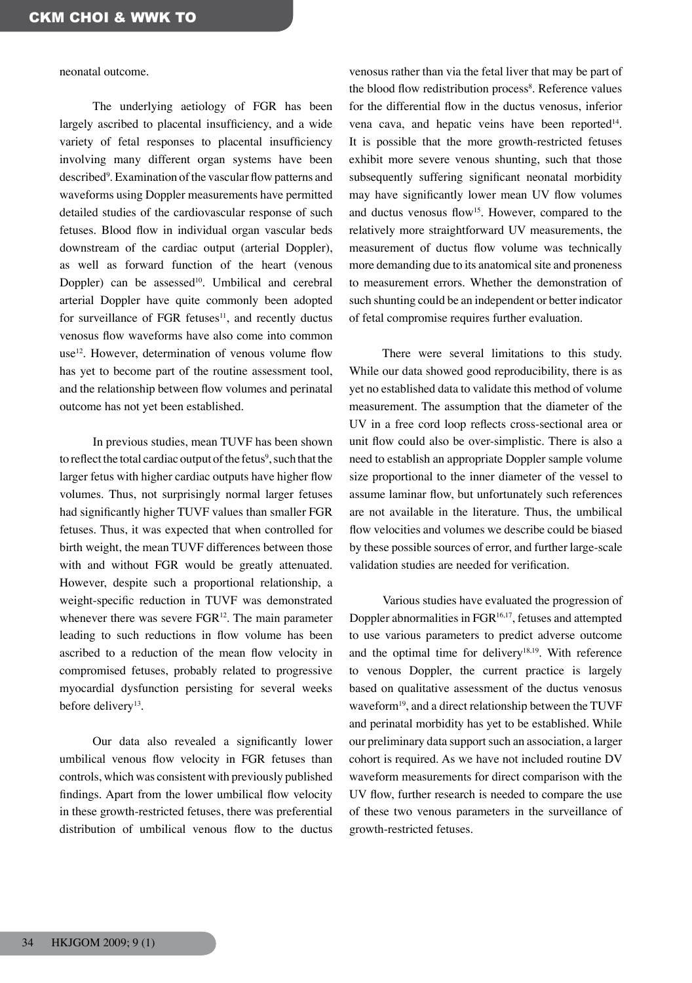neonatal outcome.

 The underlying aetiology of FGR has been largely ascribed to placental insufficiency, and a wide variety of fetal responses to placental insufficiency involving many different organ systems have been described<sup>9</sup>. Examination of the vascular flow patterns and waveforms using Doppler measurements have permitted detailed studies of the cardiovascular response of such fetuses. Blood flow in individual organ vascular beds downstream of the cardiac output (arterial Doppler), as well as forward function of the heart (venous Doppler) can be assessed<sup>10</sup>. Umbilical and cerebral arterial Doppler have quite commonly been adopted for surveillance of FGR fetuses $11$ , and recently ductus venosus flow waveforms have also come into common use12. However, determination of venous volume flow has yet to become part of the routine assessment tool, and the relationship between flow volumes and perinatal outcome has not yet been established.

 In previous studies, mean TUVF has been shown to reflect the total cardiac output of the fetus $^9$ , such that the larger fetus with higher cardiac outputs have higher flow volumes. Thus, not surprisingly normal larger fetuses had significantly higher TUVF values than smaller FGR fetuses. Thus, it was expected that when controlled for birth weight, the mean TUVF differences between those with and without FGR would be greatly attenuated. However, despite such a proportional relationship, a weight-specific reduction in TUVF was demonstrated whenever there was severe FGR<sup>12</sup>. The main parameter leading to such reductions in flow volume has been ascribed to a reduction of the mean flow velocity in compromised fetuses, probably related to progressive myocardial dysfunction persisting for several weeks before delivery<sup>13</sup>.

 Our data also revealed a significantly lower umbilical venous flow velocity in FGR fetuses than controls, which was consistent with previously published findings. Apart from the lower umbilical flow velocity in these growth-restricted fetuses, there was preferential distribution of umbilical venous flow to the ductus

venosus rather than via the fetal liver that may be part of the blood flow redistribution process<sup>8</sup>. Reference values for the differential flow in the ductus venosus, inferior vena cava, and hepatic veins have been reported<sup>14</sup>. It is possible that the more growth-restricted fetuses exhibit more severe venous shunting, such that those subsequently suffering significant neonatal morbidity may have significantly lower mean UV flow volumes and ductus venosus flow<sup>15</sup>. However, compared to the relatively more straightforward UV measurements, the measurement of ductus flow volume was technically more demanding due to its anatomical site and proneness to measurement errors. Whether the demonstration of such shunting could be an independent or better indicator of fetal compromise requires further evaluation.

 There were several limitations to this study. While our data showed good reproducibility, there is as yet no established data to validate this method of volume measurement. The assumption that the diameter of the UV in a free cord loop reflects cross-sectional area or unit flow could also be over-simplistic. There is also a need to establish an appropriate Doppler sample volume size proportional to the inner diameter of the vessel to assume laminar flow, but unfortunately such references are not available in the literature. Thus, the umbilical flow velocities and volumes we describe could be biased by these possible sources of error, and further large-scale validation studies are needed for verification.

 Various studies have evaluated the progression of Doppler abnormalities in FGR16,17, fetuses and attempted to use various parameters to predict adverse outcome and the optimal time for delivery<sup>18,19</sup>. With reference to venous Doppler, the current practice is largely based on qualitative assessment of the ductus venosus waveform<sup>19</sup>, and a direct relationship between the TUVF and perinatal morbidity has yet to be established. While our preliminary data support such an association, a larger cohort is required. As we have not included routine DV waveform measurements for direct comparison with the UV flow, further research is needed to compare the use of these two venous parameters in the surveillance of growth-restricted fetuses.